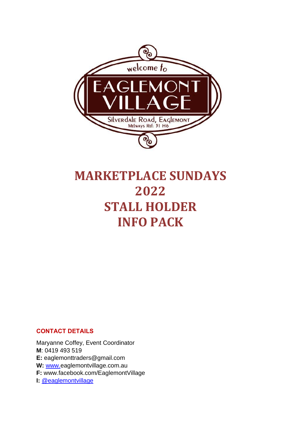

# **MARKETPLACE SUNDAYS 2022 STALL HOLDER INFO PACK**

# **CONTACT DETAILS**

Maryanne Coffey, Event Coordinator **M**: 0419 493 519 **E:** eaglemonttraders@gmail.com **W:** [www.e](http://www.merlynstonmarket.com.au/)aglemontvillage.com.au **F:** www.facebook.com/EaglemontVillage **I:** [@eaglemontvillage](about:blank)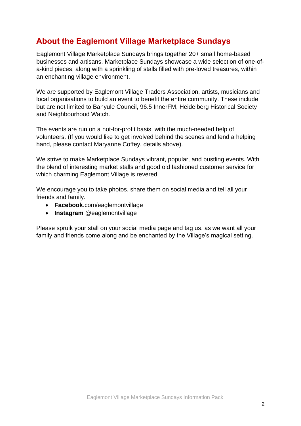# **About the Eaglemont Village Marketplace Sundays**

Eaglemont Village Marketplace Sundays brings together 20+ small home-based businesses and artisans. Marketplace Sundays showcase a wide selection of one-ofa-kind pieces, along with a sprinkling of stalls filled with pre-loved treasures, within an enchanting village environment.

We are supported by Eaglemont Village Traders Association, artists, musicians and local organisations to build an event to benefit the entire community. These include but are not limited to Banyule Council, 96.5 InnerFM, Heidelberg Historical Society and Neighbourhood Watch.

The events are run on a not-for-profit basis, with the much-needed help of volunteers. (If you would like to get involved behind the scenes and lend a helping hand, please contact Maryanne Coffey, details above).

We strive to make Marketplace Sundays vibrant, popular, and bustling events. With the blend of interesting market stalls and good old fashioned customer service for which charming Eaglemont Village is revered.

We encourage you to take photos, share them on social media and tell all your friends and family.

- **Facebook**.com/eaglemontvillage
- **Instagram** @eaglemontvillage

Please spruik your stall on your social media page and tag us, as we want all your family and friends come along and be enchanted by the Village's magical setting.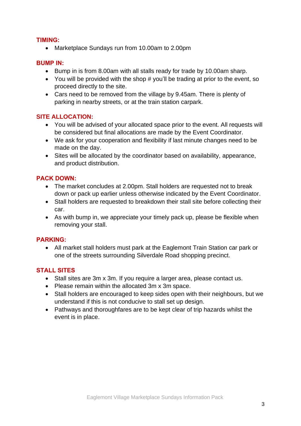# **TIMING:**

• Marketplace Sundays run from 10.00am to 2.00pm

# **BUMP IN:**

- Bump in is from 8.00am with all stalls ready for trade by 10.00am sharp.
- You will be provided with the shop # you'll be trading at prior to the event, so proceed directly to the site.
- Cars need to be removed from the village by 9.45am. There is plenty of parking in nearby streets, or at the train station carpark.

# **SITE ALLOCATION:**

- You will be advised of your allocated space prior to the event. All requests will be considered but final allocations are made by the Event Coordinator.
- We ask for your cooperation and flexibility if last minute changes need to be made on the day.
- Sites will be allocated by the coordinator based on availability, appearance, and product distribution.

# **PACK DOWN:**

- The market concludes at 2.00pm. Stall holders are requested not to break down or pack up earlier unless otherwise indicated by the Event Coordinator.
- Stall holders are requested to breakdown their stall site before collecting their car.
- As with bump in, we appreciate your timely pack up, please be flexible when removing your stall.

#### **PARKING:**

• All market stall holders must park at the Eaglemont Train Station car park or one of the streets surrounding Silverdale Road shopping precinct.

# **STALL SITES**

- Stall sites are 3m x 3m. If you require a larger area, please contact us.
- Please remain within the allocated 3m x 3m space.
- Stall holders are encouraged to keep sides open with their neighbours, but we understand if this is not conducive to stall set up design.
- Pathways and thoroughfares are to be kept clear of trip hazards whilst the event is in place.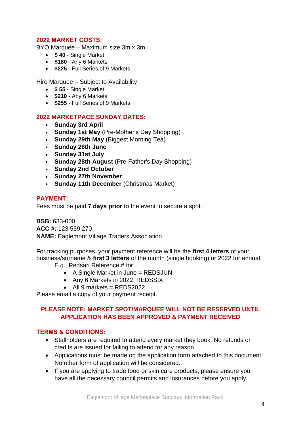# **2022 MARKET COSTS:**

BYO Marquee – Maximum size 3m x 3m

- **\$ 40** Single Market
- **\$180** Any 6 Markets
- **\$225** Full Series of 9 Markets

Hire Marquee – Subject to Availability

- **\$ 55** Single Market
- **\$210** Any 6 Markets
- **\$255** Full Series of 9 Markets

#### **2022 MARKETPACE SUNDAY DATES:**

- **Sunday 3rd April**
- **Sunday 1st May** (Pre-Mother's Day Shopping)
- **Sunday 29th May** (Biggest Morning Tea)
- **Sunday 26th June**
- **Sunday 31st July**
- **Sunday 28th August** (Pre-Father's Day Shopping)
- **Sunday 2nd October**
- **Sunday 27th November**
- **Sunday 11th December** (Christmas Market)

# **PAYMENT:**

Fees must be paid **7 days prior** to the event to secure a spot.

**BSB:** 633-000 **ACC #:** 123 559 270 **NAME:** Eaglemont Village Traders Association

For tracking purposes, your payment reference will be the **first 4 letters** of your business/surname & **first 3 letters** of the month (single booking) or 2022 for annual.

- E.g., Redsari Reference # for:
	- A Single Market in June = REDSJUN
	- Any 6 Markets in 2022: REDSSIX
	- All 9 markets =  $REDS2022$

Please email a copy of your payment receipt.

# **PLEASE NOTE: MARKET SPOT/MARQUEE WILL NOT BE RESERVED UNTIL APPLICATION HAS BEEN APPROVED & PAYMENT RECEIVED**

#### **TERMS & CONDITIONS:**

- Stallholders are required to attend every market they book. No refunds or credits are issued for failing to attend for any reason.
- Applications must be made on the application form attached to this document. No other form of application will be considered.
- If you are applying to trade food or skin care products, please ensure you have all the necessary council permits and insurances before you apply.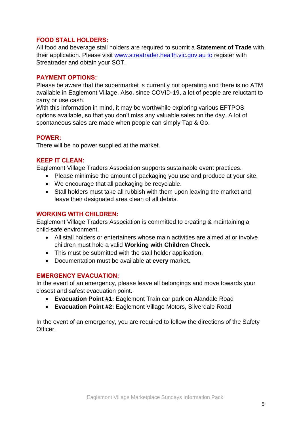# **FOOD STALL HOLDERS:**

All food and beverage stall holders are required to submit a **Statement of Trade** with their application. Please visit [www.streatrader.health.vic.gov.au to](http://www.streatrader.health.vic.gov.au/) register with Streatrader and obtain your SOT.

# **PAYMENT OPTIONS:**

Please be aware that the supermarket is currently not operating and there is no ATM available in Eaglemont Village. Also, since COVID-19, a lot of people are reluctant to carry or use cash.

With this information in mind, it may be worthwhile exploring various EFTPOS options available, so that you don't miss any valuable sales on the day. A lot of spontaneous sales are made when people can simply Tap & Go.

#### **POWER:**

There will be no power supplied at the market.

## **KEEP IT CLEAN:**

Eaglemont Village Traders Association supports sustainable event practices.

- Please minimise the amount of packaging you use and produce at your site.
- We encourage that all packaging be recyclable.
- Stall holders must take all rubbish with them upon leaving the market and leave their designated area clean of all debris.

# **WORKING WITH CHILDREN:**

Eaglemont Village Traders Association is committed to creating & maintaining a child-safe environment.

- All stall holders or entertainers whose main activities are aimed at or involve children must hold a valid **Working with Children Check**.
- This must be submitted with the stall holder application.
- Documentation must be available at **every** market.

#### **EMERGENCY EVACUATION:**

In the event of an emergency, please leave all belongings and move towards your closest and safest evacuation point.

- **Evacuation Point #1:** Eaglemont Train car park on Alandale Road
- **Evacuation Point #2:** Eaglemont Village Motors, Silverdale Road

In the event of an emergency, you are required to follow the directions of the Safety Officer.